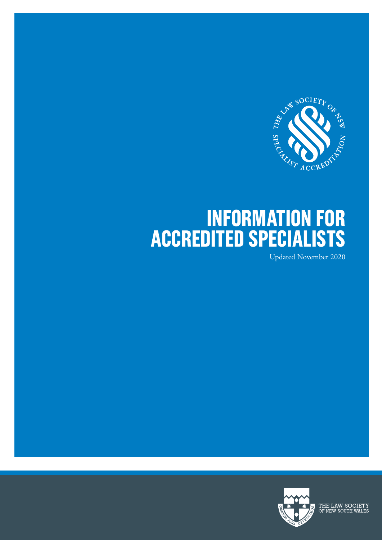

# **INFORMATION FOR ACCREDITED SPECIALISTS**

Updated November 2020



THE LAW SOCIETY<br>OF NEW SOUTH WALES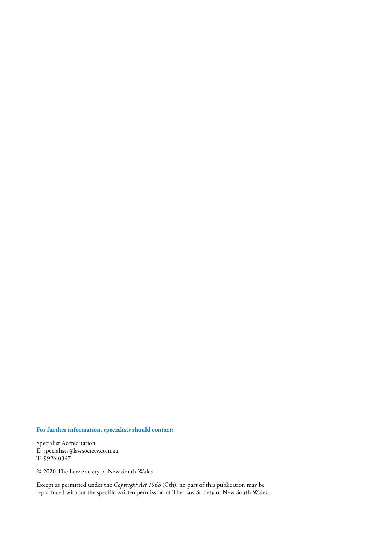#### **For further information, specialists should contact:**

Specialist Accreditation E: specialists@lawsociety.com.au T: 9926 0347

© 2020 The Law Society of New South Wales

Except as permitted under the *Copyright Act 1968* (Cth), no part of this publication may be reproduced without the specific written permission of The Law Society of New South Wales.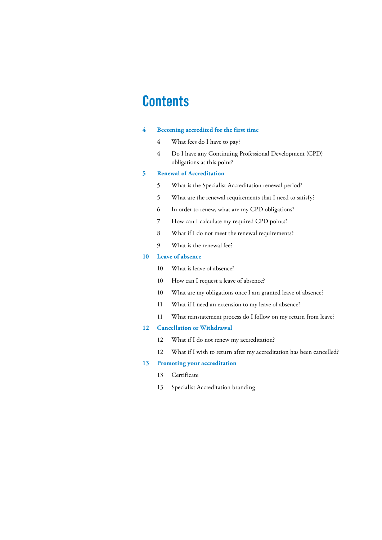## **Contents**

#### **4 Becoming accredited for the first time**

- 4 What fees do I have to pay?
- 4 Do I have any Continuing Professional Development (CPD) obligations at this point?

#### **5 Renewal of Accreditation**

- 5 What is the Specialist Accreditation renewal period?
- 5 What are the renewal requirements that I need to satisfy?
- 6 In order to renew, what are my CPD obligations?
- 7 How can I calculate my required CPD points?
- 8 What if I do not meet the renewal requirements?
- 9 What is the renewal fee?

#### **10 Leave of absence**

- 10 What is leave of absence?
- 10 How can I request a leave of absence?
- 10 What are my obligations once I am granted leave of absence?
- 11 What if I need an extension to my leave of absence?
- 11 What reinstatement process do I follow on my return from leave?

#### **12 Cancellation or Withdrawal**

- 12 What if I do not renew my accreditation?
- 12 What if I wish to return after my accreditation has been cancelled?

#### **13 Promoting your accreditation**

- 13 Certificate
- 13 Specialist Accreditation branding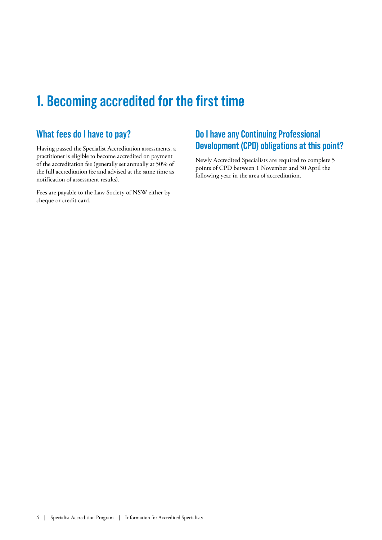## **1. Becoming accredited for the first time**

### **What fees do I have to pay?**

Having passed the Specialist Accreditation assessments, a practitioner is eligible to become accredited on payment of the accreditation fee (generally set annually at 50% of the full accreditation fee and advised at the same time as notification of assessment results).

Fees are payable to the Law Society of NSW either by cheque or credit card.

### **Do I have any Continuing Professional Development (CPD) obligations at this point?**

Newly Accredited Specialists are required to complete 5 points of CPD between 1 November and 30 April the following year in the area of accreditation.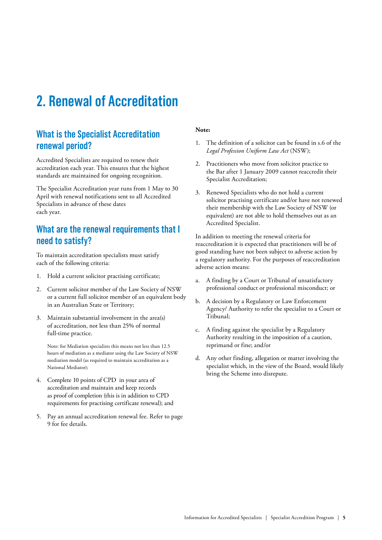## **2. Renewal of Accreditation**

### **What is the Specialist Accreditation renewal period?**

Accredited Specialists are required to renew their accreditation each year. This ensures that the highest standards are maintained for ongoing recognition.

The Specialist Accreditation year runs from 1 May to 30 April with renewal notifications sent to all Accredited Specialists in advance of these dates each year.

### **What are the renewal requirements that I need to satisfy?**

To maintain accreditation specialists must satisfy each of the following criteria:

- 1. Hold a current solicitor practising certificate;
- 2. Current solicitor member of the Law Society of NSW or a current full solicitor member of an equivalent body in an Australian State or Territory;
- 3. Maintain substantial involvement in the area(s) of accreditation, not less than 25% of normal full-time practice.

 Note: for Mediation specialists this means not less than 12.5 hours of mediation as a mediator using the Law Society of NSW mediation model (as required to maintain accreditation as a National Mediator);

- 4. Complete 10 points of CPD in your area of accreditation and maintain and keep records as proof of completion (this is in addition to CPD requirements for practising certificate renewal); and
- 5. Pay an annual accreditation renewal fee. Refer to page 9 for fee details.

#### **Note:**

- 1. The definition of a solicitor can be found in s.6 of the *Legal Profession Uniform Law Act* (NSW);
- 2. Practitioners who move from solicitor practice to the Bar after 1 January 2009 cannot reaccredit their Specialist Accreditation;
- 3. Renewed Specialists who do not hold a current solicitor practising certificate and/or have not renewed their membership with the Law Society of NSW (or equivalent) are not able to hold themselves out as an Accredited Specialist.

In addition to meeting the renewal criteria for reaccreditation it is expected that practitioners will be of good standing have not been subject to adverse action by a regulatory authority. For the purposes of reaccreditation adverse action means:

- a. A finding by a Court or Tribunal of unsatisfactory professional conduct or professional misconduct; or
- b. A decision by a Regulatory or Law Enforcement Agency/ Authority to refer the specialist to a Court or Tribunal;
- c. A finding against the specialist by a Regulatory Authority resulting in the imposition of a caution, reprimand or fine; and/or
- d. Any other finding, allegation or matter involving the specialist which, in the view of the Board, would likely bring the Scheme into disrepute.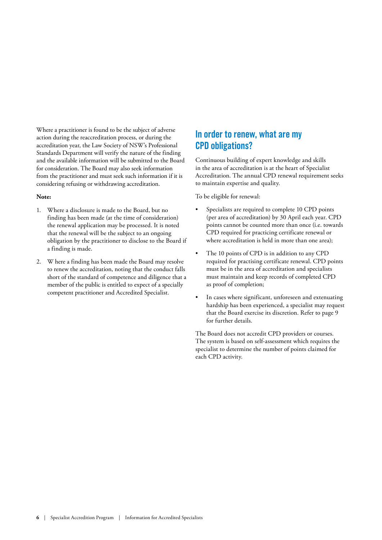Where a practitioner is found to be the subject of adverse action during the reaccreditation process, or during the accreditation year, the Law Society of NSW's Professional Standards Department will verify the nature of the finding and the available information will be submitted to the Board for consideration. The Board may also seek information from the practitioner and must seek such information if it is considering refusing or withdrawing accreditation.

#### **Note:**

- 1. Where a disclosure is made to the Board, but no finding has been made (at the time of consideration) the renewal application may be processed. It is noted that the renewal will be the subject to an ongoing obligation by the practitioner to disclose to the Board if a finding is made.
- 2. W here a finding has been made the Board may resolve to renew the accreditation, noting that the conduct falls short of the standard of competence and diligence that a member of the public is entitled to expect of a specially competent practitioner and Accredited Specialist.

### **In order to renew, what are my CPD obligations?**

Continuous building of expert knowledge and skills in the area of accreditation is at the heart of Specialist Accreditation. The annual CPD renewal requirement seeks to maintain expertise and quality.

To be eligible for renewal:

- Specialists are required to complete 10 CPD points (per area of accreditation) by 30 April each year. CPD points cannot be counted more than once (i.e. towards CPD required for practicing certificate renewal or where accreditation is held in more than one area);
- The 10 points of CPD is in addition to any CPD required for practising certificate renewal. CPD points must be in the area of accreditation and specialists must maintain and keep records of completed CPD as proof of completion;
- In cases where significant, unforeseen and extenuating hardship has been experienced, a specialist may request that the Board exercise its discretion. Refer to page 9 for further details.

The Board does not accredit CPD providers or courses. The system is based on self-assessment which requires the specialist to determine the number of points claimed for each CPD activity.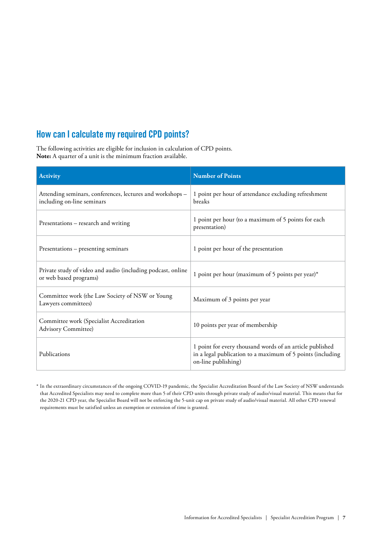### **How can I calculate my required CPD points?**

The following activities are eligible for inclusion in calculation of CPD points. **Note:** A quarter of a unit is the minimum fraction available.

| <b>Activity</b>                                                                         | <b>Number of Points</b>                                                                                                                       |
|-----------------------------------------------------------------------------------------|-----------------------------------------------------------------------------------------------------------------------------------------------|
| Attending seminars, conferences, lectures and workshops -<br>including on-line seminars | 1 point per hour of attendance excluding refreshment<br>breaks                                                                                |
| Presentations – research and writing                                                    | 1 point per hour (to a maximum of 5 points for each<br>presentation)                                                                          |
| Presentations – presenting seminars                                                     | 1 point per hour of the presentation                                                                                                          |
| Private study of video and audio (including podcast, online<br>or web based programs)   | 1 point per hour (maximum of 5 points per year)*                                                                                              |
| Committee work (the Law Society of NSW or Young<br>Lawyers committees)                  | Maximum of 3 points per year                                                                                                                  |
| Committee work (Specialist Accreditation<br><b>Advisory Committee)</b>                  | 10 points per year of membership                                                                                                              |
| Publications                                                                            | 1 point for every thousand words of an article published<br>in a legal publication to a maximum of 5 points (including<br>on-line publishing) |

\* In the extraordinary circumstances of the ongoing COVID-19 pandemic, the Specialist Accreditation Board of the Law Society of NSW understands that Accredited Specialists may need to complete more than 5 of their CPD units through private study of audio/visual material. This means that for the 2020-21 CPD year, the Specialist Board will not be enforcing the 5-unit cap on private study of audio/visual material. All other CPD renewal requirements must be satisfied unless an exemption or extension of time is granted.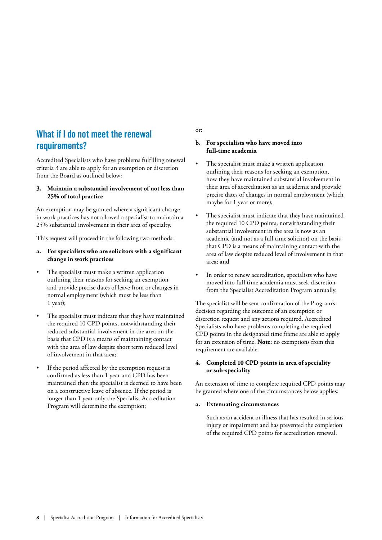### **What if I do not meet the renewal requirements?**

Accredited Specialists who have problems fulfilling renewal criteria 3 are able to apply for an exemption or discretion from the Board as outlined below:

#### **3. Maintain a substantial involvement of not less than 25% of total practice**

An exemption may be granted where a significant change in work practices has not allowed a specialist to maintain a 25% substantial involvement in their area of specialty.

This request will proceed in the following two methods:

- **a. For specialists who are solicitors with a significant change in work practices**
- The specialist must make a written application outlining their reasons for seeking an exemption and provide precise dates of leave from or changes in normal employment (which must be less than 1 year);
- The specialist must indicate that they have maintained the required 10 CPD points, notwithstanding their reduced substantial involvement in the area on the basis that CPD is a means of maintaining contact with the area of law despite short term reduced level of involvement in that area;
- If the period affected by the exemption request is confirmed as less than 1 year and CPD has been maintained then the specialist is deemed to have been on a constructive leave of absence. If the period is longer than 1 year only the Specialist Accreditation Program will determine the exemption;

or:

#### **b. For specialists who have moved into full-time academia**

- The specialist must make a written application outlining their reasons for seeking an exemption, how they have maintained substantial involvement in their area of accreditation as an academic and provide precise dates of changes in normal employment (which maybe for 1 year or more);
- The specialist must indicate that they have maintained the required 10 CPD points, notwithstanding their substantial involvement in the area is now as an academic (and not as a full time solicitor) on the basis that CPD is a means of maintaining contact with the area of law despite reduced level of involvement in that area; and
- In order to renew accreditation, specialists who have moved into full time academia must seek discretion from the Specialist Accreditation Program annually.

The specialist will be sent confirmation of the Program's decision regarding the outcome of an exemption or discretion request and any actions required. Accredited Specialists who have problems completing the required CPD points in the designated time frame are able to apply for an extension of time. **Note:** no exemptions from this requirement are available.

#### **4. Completed 10 CPD points in area of speciality or sub-speciality**

An extension of time to complete required CPD points may be granted where one of the circumstances below applies:

#### **a. Extenuating circumstances**

 Such as an accident or illness that has resulted in serious injury or impairment and has prevented the completion of the required CPD points for accreditation renewal.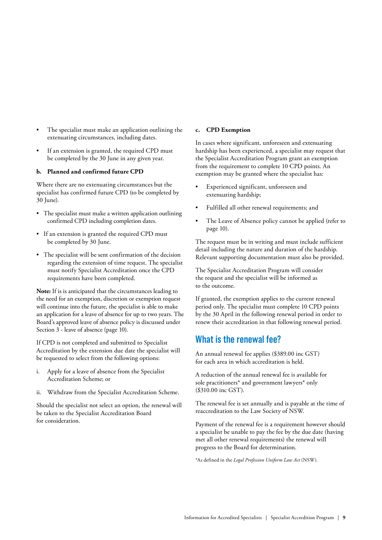- The specialist must make an application outlining the extenuating circumstances, including dates.
- If an extension is granted, the required CPD must be completed by the 30 June in any given year.

#### **b. Planned and confirmed future CPD**

Where there are no extenuating circumstances but the specialist has confirmed future CPD (to be completed by 30 June).

- The specialist must make a written application outlining confirmed CPD including completion dates.
- If an extension is granted the required CPD must be completed by 30 June.
- The specialist will be sent confirmation of the decision regarding the extension of time request. The specialist must notify Specialist Accreditation once the CPD requirements have been completed.

**Note:** If is is anticipated that the circumstances leading to the need for an exemption, discretion or exemption request will continue into the future, the specialist is able to make an application for a leave of absence for up to two years. The Board's approved leave of absence policy is discussed under Section 3 - leave of absence (page 10).

If CPD is not completed and submitted to Specialist Accreditation by the extension due date the specialist will be requested to select from the following options:

- i. Apply for a leave of absence from the Specialist Accreditation Scheme; or
- ii. Withdraw from the Specialist Accreditation Scheme.

Should the specialist not select an option, the renewal will be taken to the Specialist Accreditation Board for consideration.

#### **c. CPD Exemption**

In cases where significant, unforeseen and extenuating hardship has been experienced, a specialist may request that the Specialist Accreditation Program grant an exemption from the requirement to complete 10 CPD points. An exemption may be granted where the specialist has:

- Experienced significant, unforeseen and extenuating hardship;
- Fulfilled all other renewal requirements; and
- The Leave of Absence policy cannot be applied (refer to page 10).

The request must be in writing and must include sufficient detail including the nature and duration of the hardship. Relevant supporting documentation must also be provided.

The Specialist Accreditation Program will consider the request and the specialist will be informed as to the outcome.

If granted, the exemption applies to the current renewal period only. The specialist must complete 10 CPD points by the 30 April in the following renewal period in order to renew their accreditation in that following renewal period.

### **What is the renewal fee?**

An annual renewal fee applies (\$389.00 inc GST) for each area in which accreditation is held.

A reduction of the annual renewal fee is available for sole practitioners\* and government lawyers\* only (\$310.00 inc GST).

The renewal fee is set annually and is payable at the time of reaccreditation to the Law Society of NSW.

Payment of the renewal fee is a requirement however should a specialist be unable to pay the fee by the due date (having met all other renewal requirements) the renewal will progress to the Board for determination.

\*As defined in the *Legal Profession Uniform Law Act* (NSW).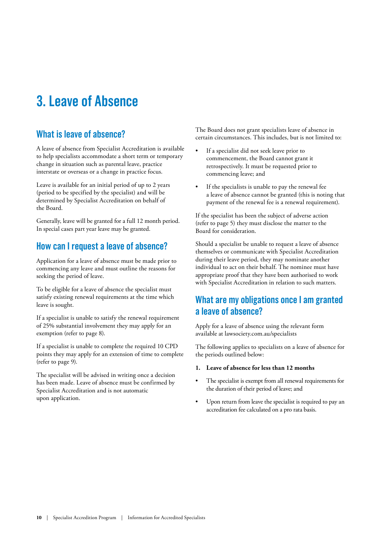## **3. Leave of Absence**

### **What is leave of absence?**

A leave of absence from Specialist Accreditation is available to help specialists accommodate a short term or temporary change in situation such as parental leave, practice interstate or overseas or a change in practice focus.

Leave is available for an initial period of up to 2 years (period to be specified by the specialist) and will be determined by Specialist Accreditation on behalf of the Board.

Generally, leave will be granted for a full 12 month period. In special cases part year leave may be granted.

### **How can I request a leave of absence?**

Application for a leave of absence must be made prior to commencing any leave and must outline the reasons for seeking the period of leave.

To be eligible for a leave of absence the specialist must satisfy existing renewal requirements at the time which leave is sought.

If a specialist is unable to satisfy the renewal requirement of 25% substantial involvement they may apply for an exemption (refer to page 8).

If a specialist is unable to complete the required 10 CPD points they may apply for an extension of time to complete (refer to page 9).

The specialist will be advised in writing once a decision has been made. Leave of absence must be confirmed by Specialist Accreditation and is not automatic upon application.

The Board does not grant specialists leave of absence in certain circumstances. This includes, but is not limited to:

- If a specialist did not seek leave prior to commencement, the Board cannot grant it retrospectively. It must be requested prior to commencing leave; and
- If the specialists is unable to pay the renewal fee a leave of absence cannot be granted (this is noting that payment of the renewal fee is a renewal requirement).

If the specialist has been the subject of adverse action (refer to page 5) they must disclose the matter to the Board for consideration.

Should a specialist be unable to request a leave of absence themselves or communicate with Specialist Accreditation during their leave period, they may nominate another individual to act on their behalf. The nominee must have appropriate proof that they have been authorised to work with Specialist Accreditation in relation to such matters.

### **What are my obligations once I am granted a leave of absence?**

Apply for a leave of absence using the relevant form available at lawsociety.com.au/specialists

The following applies to specialists on a leave of absence for the periods outlined below:

#### **1. Leave of absence for less than 12 months**

- The specialist is exempt from all renewal requirements for the duration of their period of leave; and
- Upon return from leave the specialist is required to pay an accreditation fee calculated on a pro rata basis.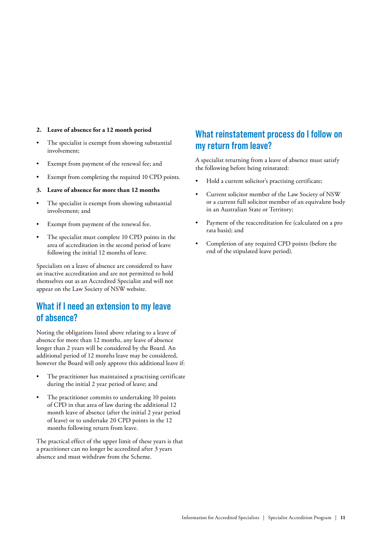#### **2. Leave of absence for a 12 month period**

- The specialist is exempt from showing substantial involvement;
- Exempt from payment of the renewal fee; and
- Exempt from completing the required 10 CPD points.
- **3. Leave of absence for more than 12 months**
- The specialist is exempt from showing substantial involvement; and
- Exempt from payment of the renewal fee.
- The specialist must complete 10 CPD points in the area of accreditation in the second period of leave following the initial 12 months of leave.

Specialists on a leave of absence are considered to have an inactive accreditation and are not permitted to hold themselves out as an Accredited Specialist and will not appear on the Law Society of NSW website.

### **What if I need an extension to my leave of absence?**

Noting the obligations listed above relating to a leave of absence for more than 12 months, any leave of absence longer than 2 years will be considered by the Board. An additional period of 12 months leave may be considered, however the Board will only approve this additional leave if:

- The practitioner has maintained a practising certificate during the initial 2 year period of leave; and
- The practitioner commits to undertaking 10 points of CPD in that area of law during the additional 12 month leave of absence (after the initial 2 year period of leave) or to undertake 20 CPD points in the 12 months following return from leave.

The practical effect of the upper limit of these years is that a practitioner can no longer be accredited after 3 years absence and must withdraw from the Scheme.

### **What reinstatement process do I follow on my return from leave?**

A specialist returning from a leave of absence must satisfy the following before being reinstated:

- Hold a current solicitor's practising certificate;
- Current solicitor member of the Law Society of NSW or a current full solicitor member of an equivalent body in an Australian State or Territory;
- Payment of the reaccreditation fee (calculated on a pro rata basis); and
- Completion of any required CPD points (before the end of the stipulated leave period).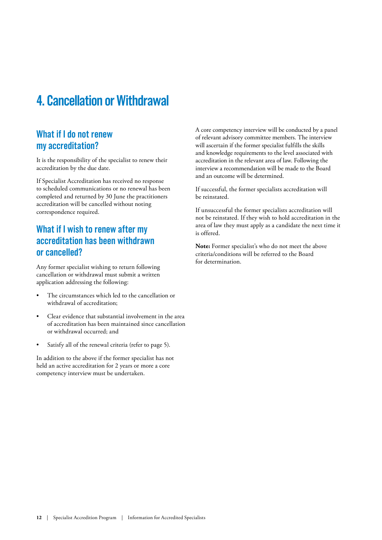## **4. Cancellation or Withdrawal**

### **What if I do not renew my accreditation?**

It is the responsibility of the specialist to renew their accreditation by the due date.

If Specialist Accreditation has received no response to scheduled communications or no renewal has been completed and returned by 30 June the practitioners accreditation will be cancelled without noting correspondence required.

### **What if I wish to renew after my accreditation has been withdrawn or cancelled?**

Any former specialist wishing to return following cancellation or withdrawal must submit a written application addressing the following:

- The circumstances which led to the cancellation or withdrawal of accreditation;
- Clear evidence that substantial involvement in the area of accreditation has been maintained since cancellation or withdrawal occurred; and
- Satisfy all of the renewal criteria (refer to page 5).

In addition to the above if the former specialist has not held an active accreditation for 2 years or more a core competency interview must be undertaken.

A core competency interview will be conducted by a panel of relevant advisory committee members. The interview will ascertain if the former specialist fulfills the skills and knowledge requirements to the level associated with accreditation in the relevant area of law. Following the interview a recommendation will be made to the Board and an outcome will be determined.

If successful, the former specialists accreditation will be reinstated.

If unsuccessful the former specialists accreditation will not be reinstated. If they wish to hold accreditation in the area of law they must apply as a candidate the next time it is offered.

**Note:** Former specialist's who do not meet the above criteria/conditions will be referred to the Board for determination.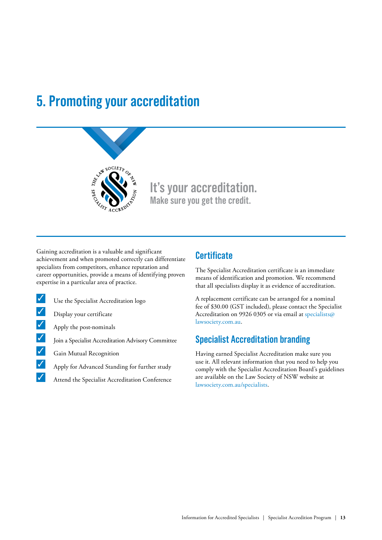## **5. Promoting your accreditation**



### **It's your accreditation. Make sure you get the credit.**

Gaining accreditation is a valuable and significant achievement and when promoted correctly can differentiate specialists from competitors, enhance reputation and career opportunities, provide a means of identifying proven expertise in a particular area of practice.

- $\bigvee$  Use the Specialist Accreditation logo
- $\triangledown$  Display your certificate
- $\sqrt{\phantom{a}}$  Apply the post-nominals
- $\bigtriangledown$  Join a Specialist Accreditation Advisory Committee
- $\bigvee$  Gain Mutual Recognition
- **3 Apply for Advanced Standing for further study**
- $\blacktriangleright$  Attend the Specialist Accreditation Conference

### **Certificate**

The Specialist Accreditation certificate is an immediate means of identification and promotion. We recommend that all specialists display it as evidence of accreditation.

A replacement certificate can be arranged for a nominal fee of \$30.00 (GST included), please contact the Specialist Accreditation on 9926 0305 or via email at specialists@ lawsociety.com.au.

### **Specialist Accreditation branding**

Having earned Specialist Accreditation make sure you use it. All relevant information that you need to help you comply with the Specialist Accreditation Board's guidelines are available on the Law Society of NSW website at lawsociety.com.au/specialists.